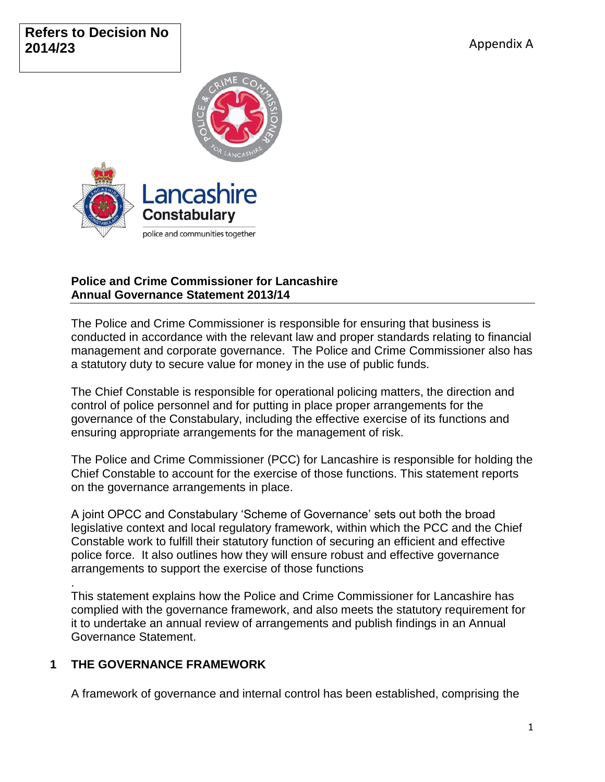# **Refers to Decision No 2014/23**



## **Police and Crime Commissioner for Lancashire Annual Governance Statement 2013/14**

The Police and Crime Commissioner is responsible for ensuring that business is conducted in accordance with the relevant law and proper standards relating to financial management and corporate governance. The Police and Crime Commissioner also has a statutory duty to secure value for money in the use of public funds.

The Chief Constable is responsible for operational policing matters, the direction and control of police personnel and for putting in place proper arrangements for the governance of the Constabulary, including the effective exercise of its functions and ensuring appropriate arrangements for the management of risk.

The Police and Crime Commissioner (PCC) for Lancashire is responsible for holding the Chief Constable to account for the exercise of those functions. This statement reports on the governance arrangements in place.

A joint OPCC and Constabulary 'Scheme of Governance' sets out both the broad legislative context and local regulatory framework, within which the PCC and the Chief Constable work to fulfill their statutory function of securing an efficient and effective police force. It also outlines how they will ensure robust and effective governance arrangements to support the exercise of those functions

This statement explains how the Police and Crime Commissioner for Lancashire has complied with the governance framework, and also meets the statutory requirement for it to undertake an annual review of arrangements and publish findings in an Annual Governance Statement.

# **1 THE GOVERNANCE FRAMEWORK**

.

A framework of governance and internal control has been established, comprising the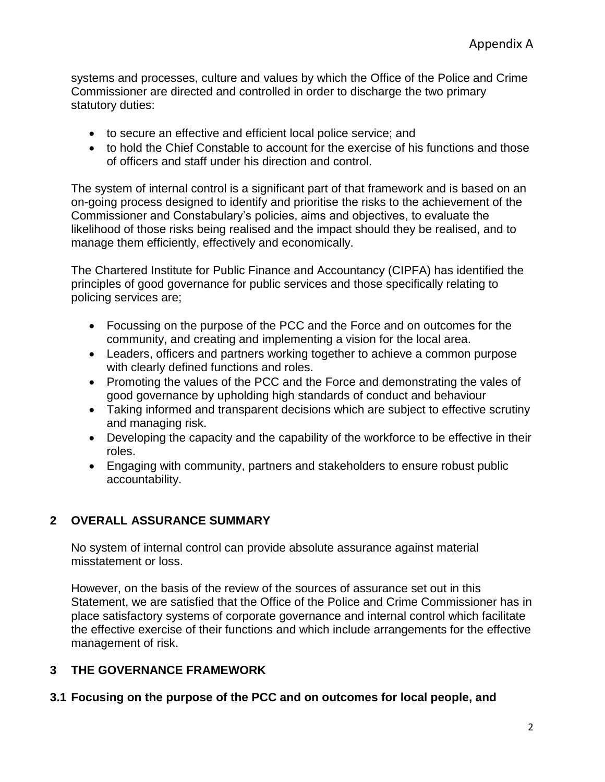systems and processes, culture and values by which the Office of the Police and Crime Commissioner are directed and controlled in order to discharge the two primary statutory duties:

- to secure an effective and efficient local police service; and
- to hold the Chief Constable to account for the exercise of his functions and those of officers and staff under his direction and control.

The system of internal control is a significant part of that framework and is based on an on-going process designed to identify and prioritise the risks to the achievement of the Commissioner and Constabulary's policies, aims and objectives, to evaluate the likelihood of those risks being realised and the impact should they be realised, and to manage them efficiently, effectively and economically.

The Chartered Institute for Public Finance and Accountancy (CIPFA) has identified the principles of good governance for public services and those specifically relating to policing services are;

- Focussing on the purpose of the PCC and the Force and on outcomes for the community, and creating and implementing a vision for the local area.
- Leaders, officers and partners working together to achieve a common purpose with clearly defined functions and roles.
- Promoting the values of the PCC and the Force and demonstrating the vales of good governance by upholding high standards of conduct and behaviour
- Taking informed and transparent decisions which are subject to effective scrutiny and managing risk.
- Developing the capacity and the capability of the workforce to be effective in their roles.
- Engaging with community, partners and stakeholders to ensure robust public accountability.

## **2 OVERALL ASSURANCE SUMMARY**

No system of internal control can provide absolute assurance against material misstatement or loss.

However, on the basis of the review of the sources of assurance set out in this Statement, we are satisfied that the Office of the Police and Crime Commissioner has in place satisfactory systems of corporate governance and internal control which facilitate the effective exercise of their functions and which include arrangements for the effective management of risk.

## **3 THE GOVERNANCE FRAMEWORK**

### **3.1 Focusing on the purpose of the PCC and on outcomes for local people, and**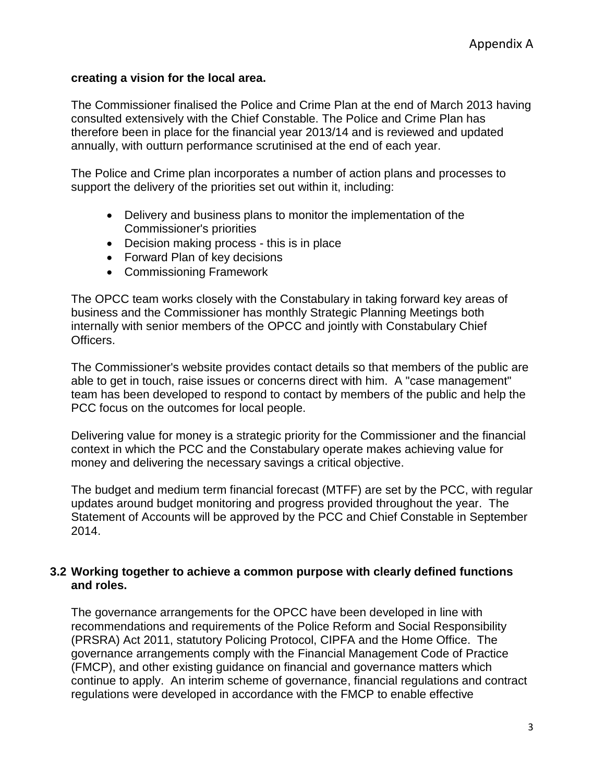### **creating a vision for the local area.**

The Commissioner finalised the Police and Crime Plan at the end of March 2013 having consulted extensively with the Chief Constable. The Police and Crime Plan has therefore been in place for the financial year 2013/14 and is reviewed and updated annually, with outturn performance scrutinised at the end of each year.

The Police and Crime plan incorporates a number of action plans and processes to support the delivery of the priorities set out within it, including:

- Delivery and business plans to monitor the implementation of the Commissioner's priorities
- Decision making process this is in place
- Forward Plan of key decisions
- Commissioning Framework

The OPCC team works closely with the Constabulary in taking forward key areas of business and the Commissioner has monthly Strategic Planning Meetings both internally with senior members of the OPCC and jointly with Constabulary Chief Officers.

The Commissioner's website provides contact details so that members of the public are able to get in touch, raise issues or concerns direct with him. A "case management" team has been developed to respond to contact by members of the public and help the PCC focus on the outcomes for local people.

Delivering value for money is a strategic priority for the Commissioner and the financial context in which the PCC and the Constabulary operate makes achieving value for money and delivering the necessary savings a critical objective.

The budget and medium term financial forecast (MTFF) are set by the PCC, with regular updates around budget monitoring and progress provided throughout the year. The Statement of Accounts will be approved by the PCC and Chief Constable in September 2014.

### **3.2 Working together to achieve a common purpose with clearly defined functions and roles.**

The governance arrangements for the OPCC have been developed in line with recommendations and requirements of the Police Reform and Social Responsibility (PRSRA) Act 2011, statutory Policing Protocol, CIPFA and the Home Office. The governance arrangements comply with the Financial Management Code of Practice (FMCP), and other existing guidance on financial and governance matters which continue to apply. An interim scheme of governance, financial regulations and contract regulations were developed in accordance with the FMCP to enable effective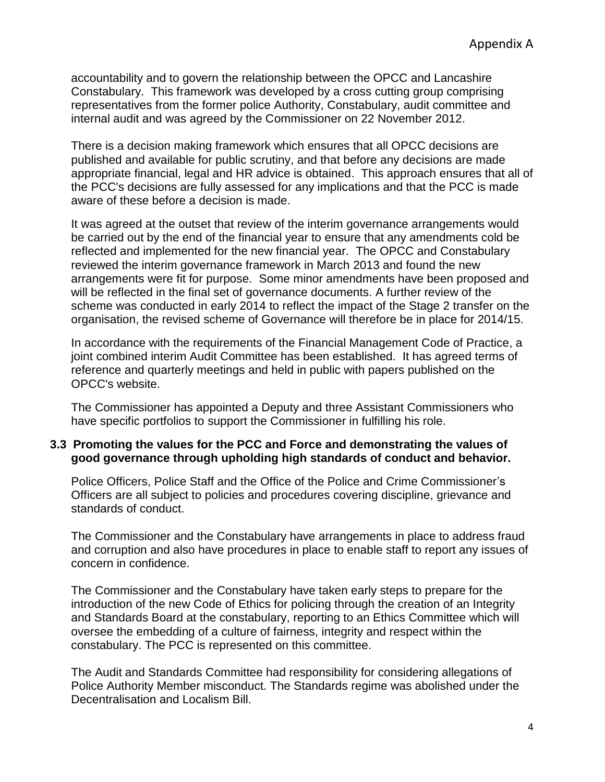accountability and to govern the relationship between the OPCC and Lancashire Constabulary. This framework was developed by a cross cutting group comprising representatives from the former police Authority, Constabulary, audit committee and internal audit and was agreed by the Commissioner on 22 November 2012.

There is a decision making framework which ensures that all OPCC decisions are published and available for public scrutiny, and that before any decisions are made appropriate financial, legal and HR advice is obtained. This approach ensures that all of the PCC's decisions are fully assessed for any implications and that the PCC is made aware of these before a decision is made.

It was agreed at the outset that review of the interim governance arrangements would be carried out by the end of the financial year to ensure that any amendments cold be reflected and implemented for the new financial year. The OPCC and Constabulary reviewed the interim governance framework in March 2013 and found the new arrangements were fit for purpose. Some minor amendments have been proposed and will be reflected in the final set of governance documents. A further review of the scheme was conducted in early 2014 to reflect the impact of the Stage 2 transfer on the organisation, the revised scheme of Governance will therefore be in place for 2014/15.

In accordance with the requirements of the Financial Management Code of Practice, a joint combined interim Audit Committee has been established. It has agreed terms of reference and quarterly meetings and held in public with papers published on the OPCC's website.

The Commissioner has appointed a Deputy and three Assistant Commissioners who have specific portfolios to support the Commissioner in fulfilling his role.

#### **3.3 Promoting the values for the PCC and Force and demonstrating the values of good governance through upholding high standards of conduct and behavior.**

Police Officers, Police Staff and the Office of the Police and Crime Commissioner's Officers are all subject to policies and procedures covering discipline, grievance and standards of conduct.

The Commissioner and the Constabulary have arrangements in place to address fraud and corruption and also have procedures in place to enable staff to report any issues of concern in confidence.

The Commissioner and the Constabulary have taken early steps to prepare for the introduction of the new Code of Ethics for policing through the creation of an Integrity and Standards Board at the constabulary, reporting to an Ethics Committee which will oversee the embedding of a culture of fairness, integrity and respect within the constabulary. The PCC is represented on this committee.

The Audit and Standards Committee had responsibility for considering allegations of Police Authority Member misconduct. The Standards regime was abolished under the Decentralisation and Localism Bill.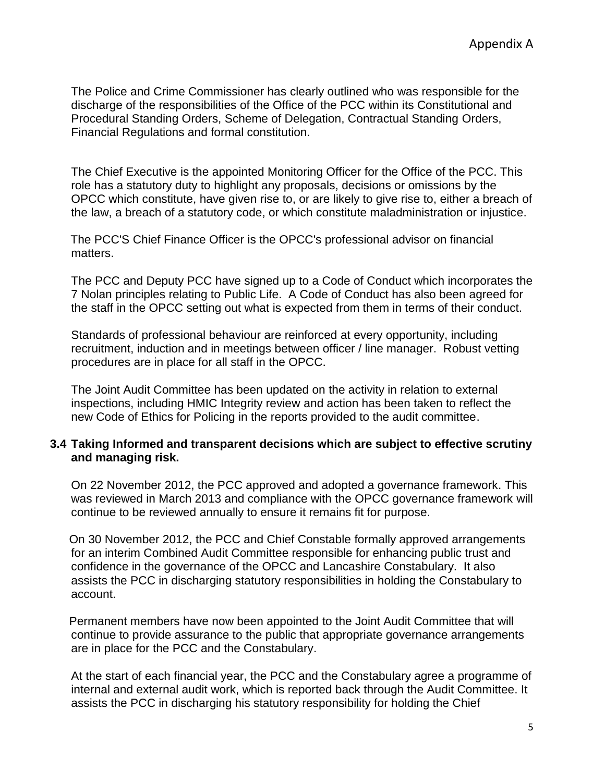The Police and Crime Commissioner has clearly outlined who was responsible for the discharge of the responsibilities of the Office of the PCC within its Constitutional and Procedural Standing Orders, Scheme of Delegation, Contractual Standing Orders, Financial Regulations and formal constitution.

The Chief Executive is the appointed Monitoring Officer for the Office of the PCC. This role has a statutory duty to highlight any proposals, decisions or omissions by the OPCC which constitute, have given rise to, or are likely to give rise to, either a breach of the law, a breach of a statutory code, or which constitute maladministration or injustice.

The PCC'S Chief Finance Officer is the OPCC's professional advisor on financial matters.

The PCC and Deputy PCC have signed up to a Code of Conduct which incorporates the 7 Nolan principles relating to Public Life. A Code of Conduct has also been agreed for the staff in the OPCC setting out what is expected from them in terms of their conduct.

Standards of professional behaviour are reinforced at every opportunity, including recruitment, induction and in meetings between officer / line manager. Robust vetting procedures are in place for all staff in the OPCC.

The Joint Audit Committee has been updated on the activity in relation to external inspections, including HMIC Integrity review and action has been taken to reflect the new Code of Ethics for Policing in the reports provided to the audit committee.

### **3.4 Taking Informed and transparent decisions which are subject to effective scrutiny and managing risk.**

On 22 November 2012, the PCC approved and adopted a governance framework. This was reviewed in March 2013 and compliance with the OPCC governance framework will continue to be reviewed annually to ensure it remains fit for purpose.

On 30 November 2012, the PCC and Chief Constable formally approved arrangements for an interim Combined Audit Committee responsible for enhancing public trust and confidence in the governance of the OPCC and Lancashire Constabulary. It also assists the PCC in discharging statutory responsibilities in holding the Constabulary to account.

Permanent members have now been appointed to the Joint Audit Committee that will continue to provide assurance to the public that appropriate governance arrangements are in place for the PCC and the Constabulary.

At the start of each financial year, the PCC and the Constabulary agree a programme of internal and external audit work, which is reported back through the Audit Committee. It assists the PCC in discharging his statutory responsibility for holding the Chief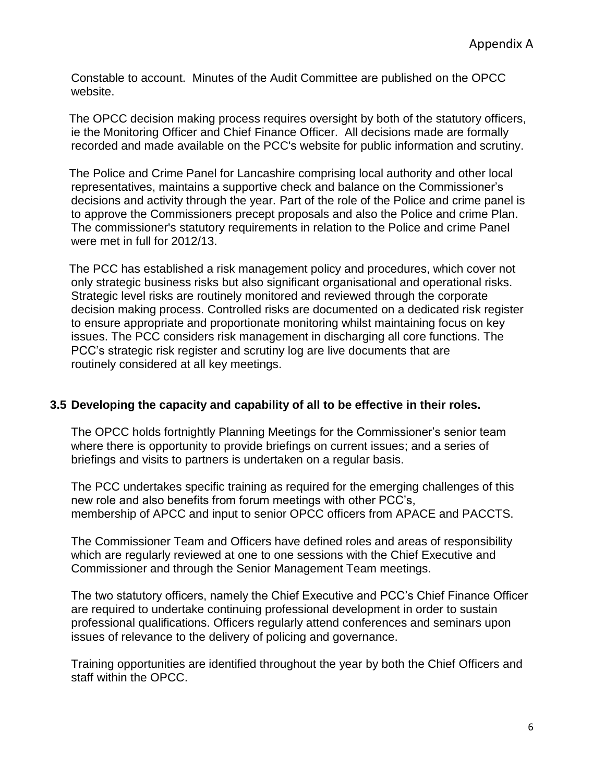Constable to account. Minutes of the Audit Committee are published on the OPCC website.

The OPCC decision making process requires oversight by both of the statutory officers, ie the Monitoring Officer and Chief Finance Officer. All decisions made are formally recorded and made available on the PCC's website for public information and scrutiny.

The Police and Crime Panel for Lancashire comprising local authority and other local representatives, maintains a supportive check and balance on the Commissioner's decisions and activity through the year. Part of the role of the Police and crime panel is to approve the Commissioners precept proposals and also the Police and crime Plan. The commissioner's statutory requirements in relation to the Police and crime Panel were met in full for 2012/13.

The PCC has established a risk management policy and procedures, which cover not only strategic business risks but also significant organisational and operational risks. Strategic level risks are routinely monitored and reviewed through the corporate decision making process. Controlled risks are documented on a dedicated risk register to ensure appropriate and proportionate monitoring whilst maintaining focus on key issues. The PCC considers risk management in discharging all core functions. The PCC's strategic risk register and scrutiny log are live documents that are routinely considered at all key meetings.

## **3.5 Developing the capacity and capability of all to be effective in their roles.**

The OPCC holds fortnightly Planning Meetings for the Commissioner's senior team where there is opportunity to provide briefings on current issues; and a series of briefings and visits to partners is undertaken on a regular basis.

The PCC undertakes specific training as required for the emerging challenges of this new role and also benefits from forum meetings with other PCC's, membership of APCC and input to senior OPCC officers from APACE and PACCTS.

The Commissioner Team and Officers have defined roles and areas of responsibility which are regularly reviewed at one to one sessions with the Chief Executive and Commissioner and through the Senior Management Team meetings.

The two statutory officers, namely the Chief Executive and PCC's Chief Finance Officer are required to undertake continuing professional development in order to sustain professional qualifications. Officers regularly attend conferences and seminars upon issues of relevance to the delivery of policing and governance.

Training opportunities are identified throughout the year by both the Chief Officers and staff within the OPCC.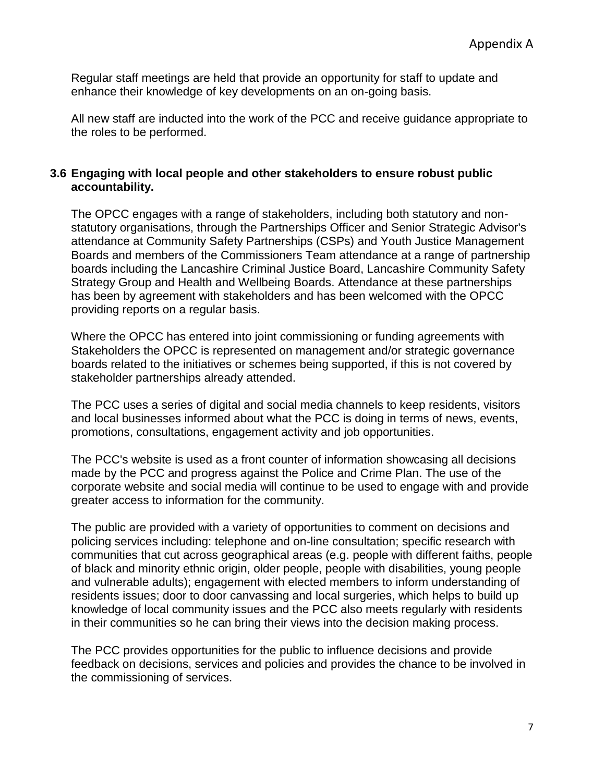Regular staff meetings are held that provide an opportunity for staff to update and enhance their knowledge of key developments on an on-going basis.

All new staff are inducted into the work of the PCC and receive guidance appropriate to the roles to be performed.

### **3.6 Engaging with local people and other stakeholders to ensure robust public accountability.**

The OPCC engages with a range of stakeholders, including both statutory and nonstatutory organisations, through the Partnerships Officer and Senior Strategic Advisor's attendance at Community Safety Partnerships (CSPs) and Youth Justice Management Boards and members of the Commissioners Team attendance at a range of partnership boards including the Lancashire Criminal Justice Board, Lancashire Community Safety Strategy Group and Health and Wellbeing Boards. Attendance at these partnerships has been by agreement with stakeholders and has been welcomed with the OPCC providing reports on a regular basis.

Where the OPCC has entered into joint commissioning or funding agreements with Stakeholders the OPCC is represented on management and/or strategic governance boards related to the initiatives or schemes being supported, if this is not covered by stakeholder partnerships already attended.

The PCC uses a series of digital and social media channels to keep residents, visitors and local businesses informed about what the PCC is doing in terms of news, events, promotions, consultations, engagement activity and job opportunities.

The PCC's website is used as a front counter of information showcasing all decisions made by the PCC and progress against the Police and Crime Plan. The use of the corporate website and social media will continue to be used to engage with and provide greater access to information for the community.

The public are provided with a variety of opportunities to comment on decisions and policing services including: telephone and on-line consultation; specific research with communities that cut across geographical areas (e.g. people with different faiths, people of black and minority ethnic origin, older people, people with disabilities, young people and vulnerable adults); engagement with elected members to inform understanding of residents issues; door to door canvassing and local surgeries, which helps to build up knowledge of local community issues and the PCC also meets regularly with residents in their communities so he can bring their views into the decision making process.

The PCC provides opportunities for the public to influence decisions and provide feedback on decisions, services and policies and provides the chance to be involved in the commissioning of services.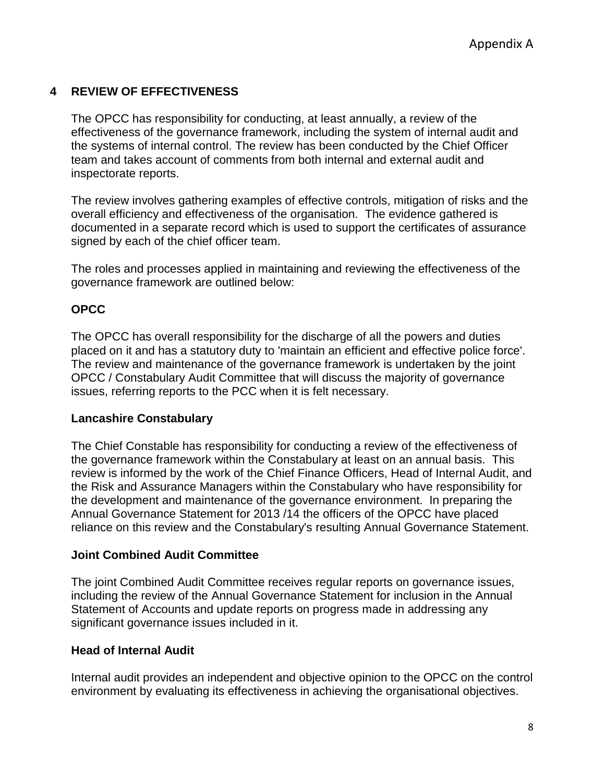## **4 REVIEW OF EFFECTIVENESS**

The OPCC has responsibility for conducting, at least annually, a review of the effectiveness of the governance framework, including the system of internal audit and the systems of internal control. The review has been conducted by the Chief Officer team and takes account of comments from both internal and external audit and inspectorate reports.

The review involves gathering examples of effective controls, mitigation of risks and the overall efficiency and effectiveness of the organisation. The evidence gathered is documented in a separate record which is used to support the certificates of assurance signed by each of the chief officer team.

The roles and processes applied in maintaining and reviewing the effectiveness of the governance framework are outlined below:

### **OPCC**

The OPCC has overall responsibility for the discharge of all the powers and duties placed on it and has a statutory duty to 'maintain an efficient and effective police force'. The review and maintenance of the governance framework is undertaken by the joint OPCC / Constabulary Audit Committee that will discuss the majority of governance issues, referring reports to the PCC when it is felt necessary.

### **Lancashire Constabulary**

The Chief Constable has responsibility for conducting a review of the effectiveness of the governance framework within the Constabulary at least on an annual basis. This review is informed by the work of the Chief Finance Officers, Head of Internal Audit, and the Risk and Assurance Managers within the Constabulary who have responsibility for the development and maintenance of the governance environment. In preparing the Annual Governance Statement for 2013 /14 the officers of the OPCC have placed reliance on this review and the Constabulary's resulting Annual Governance Statement.

### **Joint Combined Audit Committee**

The joint Combined Audit Committee receives regular reports on governance issues, including the review of the Annual Governance Statement for inclusion in the Annual Statement of Accounts and update reports on progress made in addressing any significant governance issues included in it.

### **Head of Internal Audit**

Internal audit provides an independent and objective opinion to the OPCC on the control environment by evaluating its effectiveness in achieving the organisational objectives.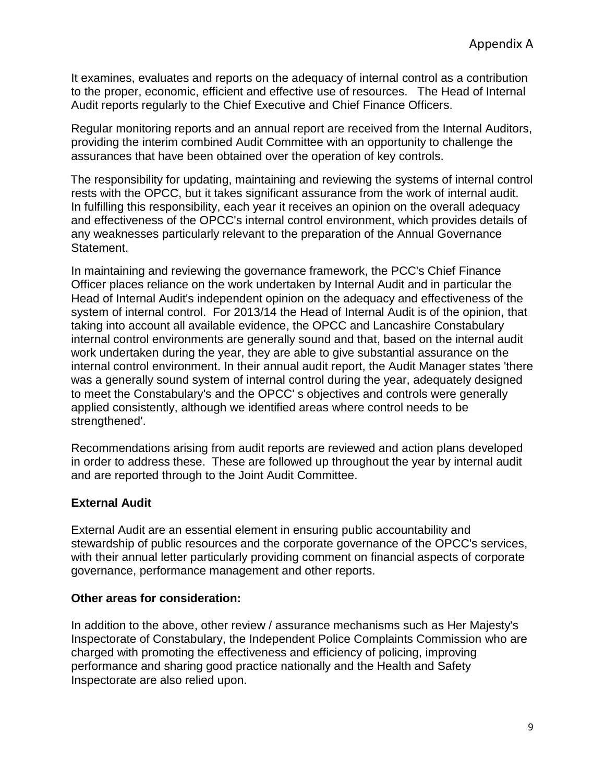It examines, evaluates and reports on the adequacy of internal control as a contribution to the proper, economic, efficient and effective use of resources. The Head of Internal Audit reports regularly to the Chief Executive and Chief Finance Officers.

Regular monitoring reports and an annual report are received from the Internal Auditors, providing the interim combined Audit Committee with an opportunity to challenge the assurances that have been obtained over the operation of key controls.

The responsibility for updating, maintaining and reviewing the systems of internal control rests with the OPCC, but it takes significant assurance from the work of internal audit. In fulfilling this responsibility, each year it receives an opinion on the overall adequacy and effectiveness of the OPCC's internal control environment, which provides details of any weaknesses particularly relevant to the preparation of the Annual Governance Statement.

In maintaining and reviewing the governance framework, the PCC's Chief Finance Officer places reliance on the work undertaken by Internal Audit and in particular the Head of Internal Audit's independent opinion on the adequacy and effectiveness of the system of internal control. For 2013/14 the Head of Internal Audit is of the opinion, that taking into account all available evidence, the OPCC and Lancashire Constabulary internal control environments are generally sound and that, based on the internal audit work undertaken during the year, they are able to give substantial assurance on the internal control environment. In their annual audit report, the Audit Manager states 'there was a generally sound system of internal control during the year, adequately designed to meet the Constabulary's and the OPCC' s objectives and controls were generally applied consistently, although we identified areas where control needs to be strengthened'.

Recommendations arising from audit reports are reviewed and action plans developed in order to address these. These are followed up throughout the year by internal audit and are reported through to the Joint Audit Committee.

## **External Audit**

External Audit are an essential element in ensuring public accountability and stewardship of public resources and the corporate governance of the OPCC's services, with their annual letter particularly providing comment on financial aspects of corporate governance, performance management and other reports.

## **Other areas for consideration:**

In addition to the above, other review / assurance mechanisms such as Her Majesty's Inspectorate of Constabulary, the Independent Police Complaints Commission who are charged with promoting the effectiveness and efficiency of policing, improving performance and sharing good practice nationally and the Health and Safety Inspectorate are also relied upon.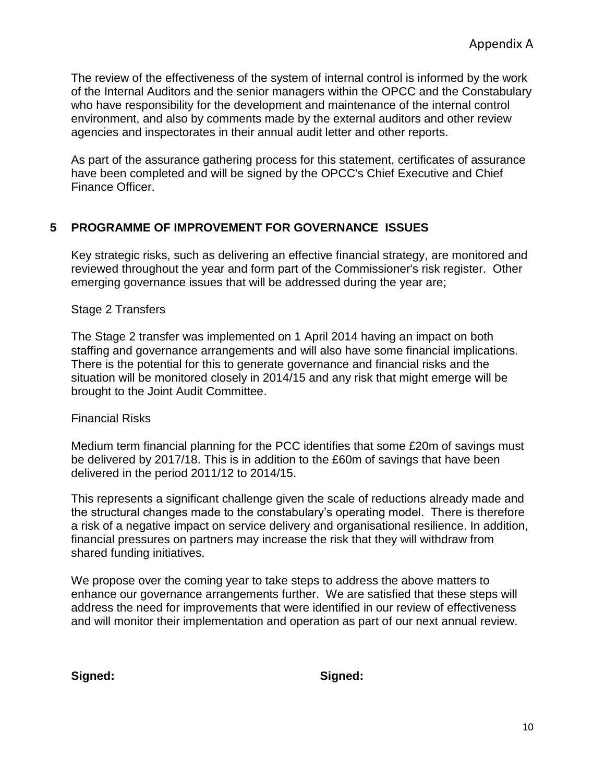The review of the effectiveness of the system of internal control is informed by the work of the Internal Auditors and the senior managers within the OPCC and the Constabulary who have responsibility for the development and maintenance of the internal control environment, and also by comments made by the external auditors and other review agencies and inspectorates in their annual audit letter and other reports.

As part of the assurance gathering process for this statement, certificates of assurance have been completed and will be signed by the OPCC's Chief Executive and Chief Finance Officer.

## **5 PROGRAMME OF IMPROVEMENT FOR GOVERNANCE ISSUES**

Key strategic risks, such as delivering an effective financial strategy, are monitored and reviewed throughout the year and form part of the Commissioner's risk register. Other emerging governance issues that will be addressed during the year are;

### Stage 2 Transfers

The Stage 2 transfer was implemented on 1 April 2014 having an impact on both staffing and governance arrangements and will also have some financial implications. There is the potential for this to generate governance and financial risks and the situation will be monitored closely in 2014/15 and any risk that might emerge will be brought to the Joint Audit Committee.

## Financial Risks

Medium term financial planning for the PCC identifies that some £20m of savings must be delivered by 2017/18. This is in addition to the £60m of savings that have been delivered in the period 2011/12 to 2014/15.

This represents a significant challenge given the scale of reductions already made and the structural changes made to the constabulary's operating model. There is therefore a risk of a negative impact on service delivery and organisational resilience. In addition, financial pressures on partners may increase the risk that they will withdraw from shared funding initiatives.

We propose over the coming year to take steps to address the above matters to enhance our governance arrangements further. We are satisfied that these steps will address the need for improvements that were identified in our review of effectiveness and will monitor their implementation and operation as part of our next annual review.

**Signed: Signed:**